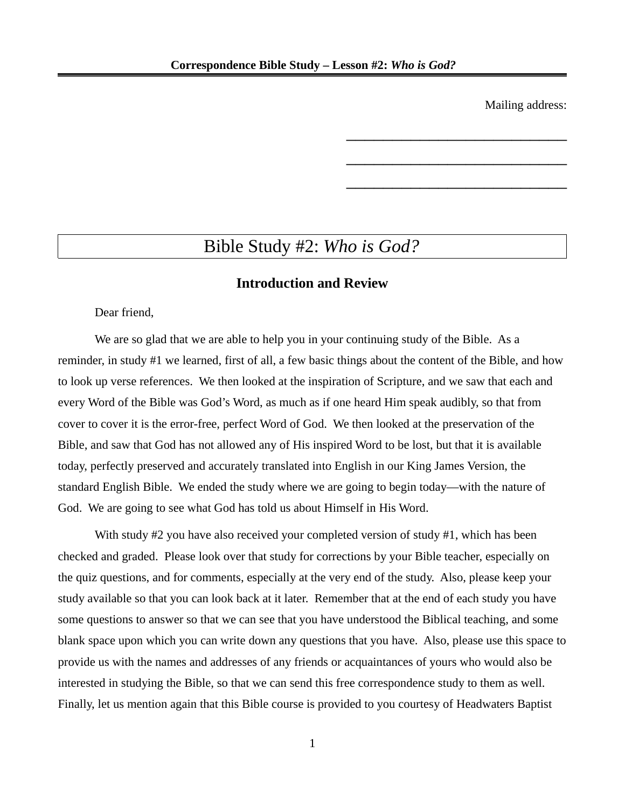Mailing address:

\_\_\_\_\_\_\_\_\_\_\_\_\_\_\_\_\_\_\_\_\_\_\_\_

\_\_\_\_\_\_\_\_\_\_\_\_\_\_\_\_\_\_\_\_\_\_\_\_

\_\_\_\_\_\_\_\_\_\_\_\_\_\_\_\_\_\_\_\_\_\_\_\_

# Bible Study #2: *Who is God?*

### **Introduction and Review**

Dear friend,

We are so glad that we are able to help you in your continuing study of the Bible. As a reminder, in study #1 we learned, first of all, a few basic things about the content of the Bible, and how to look up verse references. We then looked at the inspiration of Scripture, and we saw that each and every Word of the Bible was God's Word, as much as if one heard Him speak audibly, so that from cover to cover it is the error-free, perfect Word of God. We then looked at the preservation of the Bible, and saw that God has not allowed any of His inspired Word to be lost, but that it is available today, perfectly preserved and accurately translated into English in our King James Version, the standard English Bible. We ended the study where we are going to begin today—with the nature of God. We are going to see what God has told us about Himself in His Word.

With study #2 you have also received your completed version of study #1, which has been checked and graded. Please look over that study for corrections by your Bible teacher, especially on the quiz questions, and for comments, especially at the very end of the study. Also, please keep your study available so that you can look back at it later. Remember that at the end of each study you have some questions to answer so that we can see that you have understood the Biblical teaching, and some blank space upon which you can write down any questions that you have. Also, please use this space to provide us with the names and addresses of any friends or acquaintances of yours who would also be interested in studying the Bible, so that we can send this free correspondence study to them as well. Finally, let us mention again that this Bible course is provided to you courtesy of Headwaters Baptist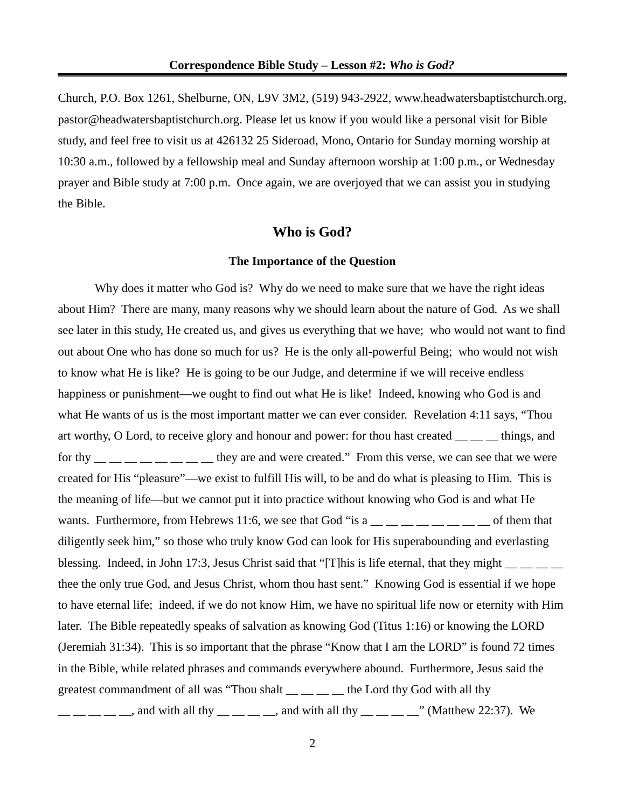Church, P.O. Box 1261, Shelburne, ON, L9V 3M2, (519) 943-2922, www.headwatersbaptistchurch.org, pastor@headwatersbaptistchurch.org. Please let us know if you would like a personal visit for Bible study, and feel free to visit us at 426132 25 Sideroad, Mono, Ontario for Sunday morning worship at 10:30 a.m., followed by a fellowship meal and Sunday afternoon worship at 1:00 p.m., or Wednesday prayer and Bible study at 7:00 p.m. Once again, we are overjoyed that we can assist you in studying the Bible.

### **Who is God?**

#### **The Importance of the Question**

Why does it matter who God is? Why do we need to make sure that we have the right ideas about Him? There are many, many reasons why we should learn about the nature of God. As we shall see later in this study, He created us, and gives us everything that we have; who would not want to find out about One who has done so much for us? He is the only all-powerful Being; who would not wish to know what He is like? He is going to be our Judge, and determine if we will receive endless happiness or punishment—we ought to find out what He is like! Indeed, knowing who God is and what He wants of us is the most important matter we can ever consider. Revelation 4:11 says, "Thou art worthy, O Lord, to receive glory and honour and power: for thou hast created  $\frac{1}{\sqrt{2}}$  things, and for thy  $\frac{1}{1}$   $\frac{1}{1}$   $\frac{1}{1}$   $\frac{1}{1}$   $\frac{1}{1}$   $\frac{1}{1}$   $\frac{1}{1}$  they are and were created." From this verse, we can see that we were created for His "pleasure"—we exist to fulfill His will, to be and do what is pleasing to Him. This is the meaning of life—but we cannot put it into practice without knowing who God is and what He wants. Furthermore, from Hebrews 11:6, we see that God "is a  $\_\_\_\_\_\_\_ \_\_ \_\_ \_ \_ \_$  of them that diligently seek him," so those who truly know God can look for His superabounding and everlasting blessing. Indeed, in John 17:3, Jesus Christ said that "[T]his is life eternal, that they might  $\frac{1}{\sqrt{2}}$   $\frac{1}{\sqrt{2}}$ thee the only true God, and Jesus Christ, whom thou hast sent." Knowing God is essential if we hope to have eternal life; indeed, if we do not know Him, we have no spiritual life now or eternity with Him later. The Bible repeatedly speaks of salvation as knowing God (Titus 1:16) or knowing the LORD (Jeremiah 31:34). This is so important that the phrase "Know that I am the LORD" is found 72 times in the Bible, while related phrases and commands everywhere abound. Furthermore, Jesus said the greatest commandment of all was "Thou shalt  $\_\_\_\_\_\_\_\$ the Lord thy God with all thy  $\frac{1}{1}$  \_ \_ \_ \_ \_, and with all thy \_ \_ \_ \_ \_, and with all thy \_ \_ \_ \_ \_ \_" (Matthew 22:37). We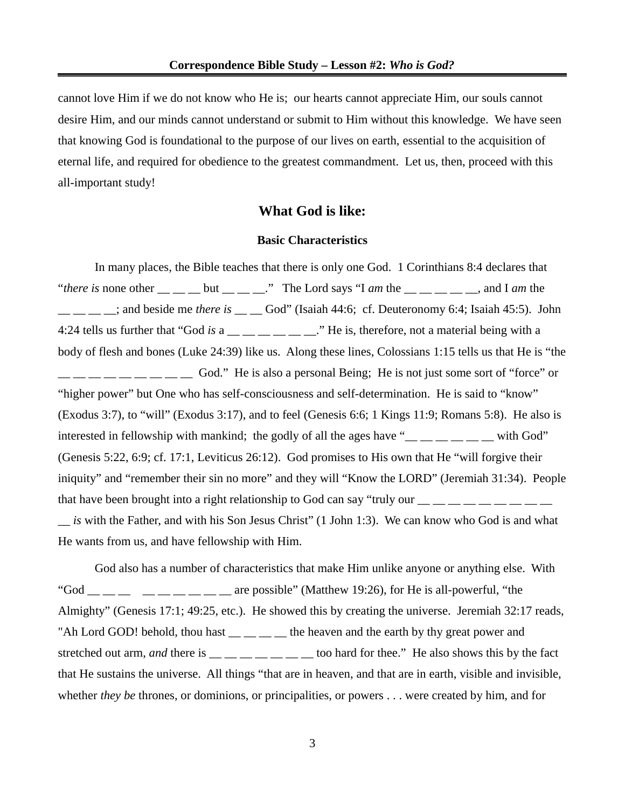cannot love Him if we do not know who He is; our hearts cannot appreciate Him, our souls cannot desire Him, and our minds cannot understand or submit to Him without this knowledge. We have seen that knowing God is foundational to the purpose of our lives on earth, essential to the acquisition of eternal life, and required for obedience to the greatest commandment. Let us, then, proceed with this all-important study!

### **What God is like:**

#### **Basic Characteristics**

In many places, the Bible teaches that there is only one God. 1 Corinthians 8:4 declares that "*there is* none other  $\_\_\_\_$  but  $\_\_\_\_$ ." The Lord says "I *am* the  $\_\_\_\_\_$  m  $\_\_$  and I *am* the \_\_ \_\_ \_\_ \_\_; and beside me *there is* \_\_ \_\_ God" (Isaiah 44:6; cf. Deuteronomy 6:4; Isaiah 45:5). John 4:24 tells us further that "God *is* a \_\_ \_ \_ \_ \_ \_ \_ \_ \_ ." He is, therefore, not a material being with a body of flesh and bones (Luke 24:39) like us. Along these lines, Colossians 1:15 tells us that He is "the God." He is also a personal Being; He is not just some sort of "force" or "higher power" but One who has self-consciousness and self-determination. He is said to "know" (Exodus 3:7), to "will" (Exodus 3:17), and to feel (Genesis 6:6; 1 Kings 11:9; Romans 5:8). He also is interested in fellowship with mankind; the godly of all the ages have " $\frac{m}{m}$   $\frac{m}{m}$   $\frac{m}{m}$  with God" (Genesis 5:22, 6:9; cf. 17:1, Leviticus 26:12). God promises to His own that He "will forgive their iniquity" and "remember their sin no more" and they will "Know the LORD" (Jeremiah 31:34). People that have been brought into a right relationship to God can say "truly our  $\frac{1}{1}$   $\frac{1}{1}$   $\frac{1}{1}$   $\frac{1}{1}$   $\frac{1}{1}$   $\frac{1}{1}$   $\frac{1}{1}$   $\frac{1}{1}$   $\frac{1}{1}$   $\frac{1}{1}$   $\frac{1}{1}$   $\frac{1}{1}$   $\frac{1}{1}$   $\frac{1}{1}$   $\frac{1}{$ \_\_ *is* with the Father, and with his Son Jesus Christ" (1 John 1:3). We can know who God is and what

He wants from us, and have fellowship with Him.

God also has a number of characteristics that make Him unlike anyone or anything else. With "God \_\_ \_\_ \_\_ \_\_ \_\_ \_\_ \_\_ \_\_ \_\_ are possible" (Matthew 19:26), for He is all-powerful, "the Almighty" (Genesis 17:1; 49:25, etc.). He showed this by creating the universe. Jeremiah 32:17 reads, "Ah Lord GOD! behold, thou hast \_\_ \_\_ \_\_ the heaven and the earth by thy great power and stretched out arm, *and* there is \_\_ \_ \_ \_ \_ \_ \_ \_ too hard for thee." He also shows this by the fact that He sustains the universe. All things "that are in heaven, and that are in earth, visible and invisible, whether *they be* thrones, or dominions, or principalities, or powers . . . were created by him, and for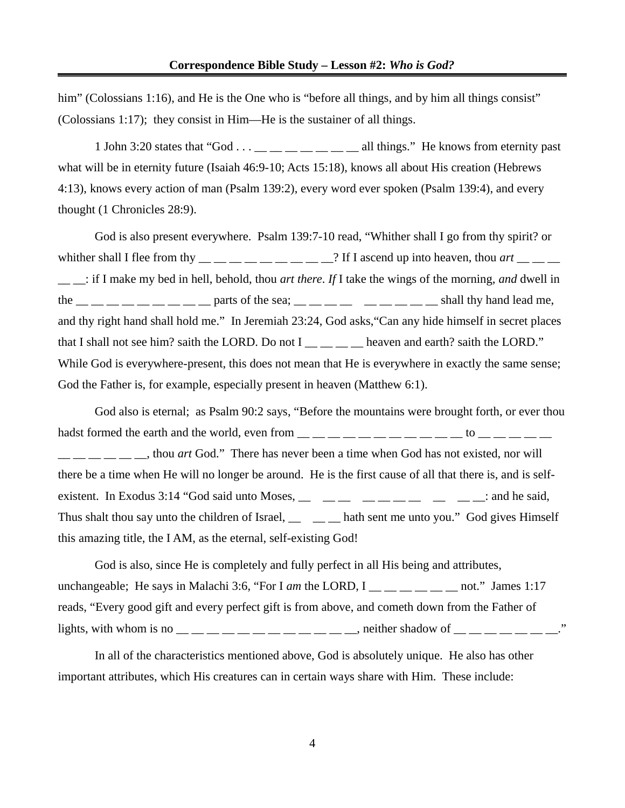him" (Colossians 1:16), and He is the One who is "before all things, and by him all things consist" (Colossians 1:17); they consist in Him—He is the sustainer of all things.

1 John 3:20 states that "God . . . \_\_ \_\_ \_\_ \_\_ \_\_ \_\_ all things." He knows from eternity past what will be in eternity future (Isaiah 46:9-10; Acts 15:18), knows all about His creation (Hebrews 4:13), knows every action of man (Psalm 139:2), every word ever spoken (Psalm 139:4), and every thought (1 Chronicles 28:9).

God is also present everywhere. Psalm 139:7-10 read, "Whither shall I go from thy spirit? or whither shall I flee from thy  $\_\_\_\_\_\_\_\_\_\_\_\_\_$ ? If I ascend up into heaven, thou  $\arct$   $\_\_\_\_\_\_\_\_\$ \_\_ \_\_: if I make my bed in hell, behold, thou *art there*. *If* I take the wings of the morning, *and* dwell in the  $\frac{m}{m}$   $\frac{m}{m}$   $\frac{m}{m}$   $\frac{m}{m}$   $\frac{m}{m}$   $\frac{m}{m}$   $\frac{m}{m}$   $\frac{m}{m}$   $\frac{m}{m}$   $\frac{m}{m}$   $\frac{m}{m}$   $\frac{m}{m}$   $\frac{m}{m}$   $\frac{m}{m}$   $\frac{m}{m}$   $\frac{m}{m}$   $\frac{m}{m}$   $\frac{m}{m}$   $\frac{m}{m}$   $\frac{m}{m}$   $\frac{m}{m}$   $\frac{m}{m$ and thy right hand shall hold me." In Jeremiah 23:24, God asks,"Can any hide himself in secret places that I shall not see him? saith the LORD. Do not I \_\_ \_ \_ \_ heaven and earth? saith the LORD." While God is everywhere-present, this does not mean that He is everywhere in exactly the same sense; God the Father is, for example, especially present in heaven (Matthew 6:1).

God also is eternal; as Psalm 90:2 says, "Before the mountains were brought forth, or ever thou hadst formed the earth and the world, even from  $\_\_\_\_\_\_ \_\_ \_\_ \_ \_ \_ \_ \_ \_ \_ \_ \_ \_ \_$ \_\_ \_\_ \_\_ \_\_ \_\_ \_\_, thou *art* God." There has never been a time when God has not existed, nor will there be a time when He will no longer be around. He is the first cause of all that there is, and is selfexistent. In Exodus 3:14 "God said unto Moses, \_\_ \_\_ \_\_ \_\_ \_\_ \_\_ \_\_ \_\_ \_\_ \_\_: and he said, Thus shalt thou say unto the children of Israel, \_\_ \_ \_\_ hath sent me unto you." God gives Himself this amazing title, the I AM, as the eternal, self-existing God!

God is also, since He is completely and fully perfect in all His being and attributes, unchangeable; He says in Malachi 3:6, "For I *am* the LORD,  $I_{\text{max}} = 1$  and  $I_{\text{max}}$  James 1:17 reads, "Every good gift and every perfect gift is from above, and cometh down from the Father of lights, with whom is no  $\_\_$   $\_\_$   $\_\_$   $\_\_$   $\_\_$   $\_\_$   $\_\_$   $\_\_$  neither shadow of  $\_\_$   $\_\_$   $\_\_$ 

In all of the characteristics mentioned above, God is absolutely unique. He also has other important attributes, which His creatures can in certain ways share with Him. These include: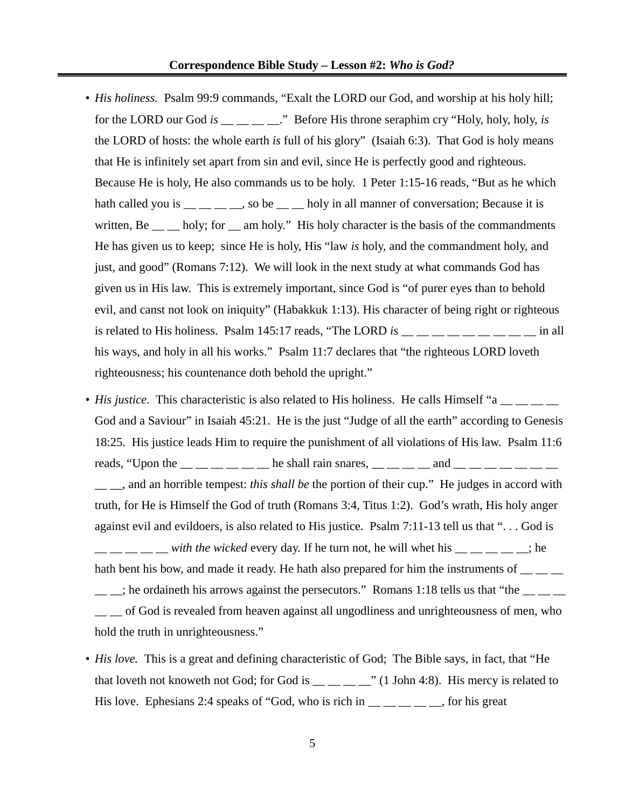#### **Correspondence Bible Study – Lesson #2:** *Who is God?*

- *His holiness.* Psalm 99:9 commands, "Exalt the LORD our God, and worship at his holy hill; for the LORD our God *is* \_\_\_\_\_\_\_." Before His throne seraphim cry "Holy, holy, holy, *is* the LORD of hosts: the whole earth *is* full of his glory" (Isaiah 6:3). That God is holy means that He is infinitely set apart from sin and evil, since He is perfectly good and righteous. Because He is holy, He also commands us to be holy. 1 Peter 1:15-16 reads, "But as he which hath called you is  $\frac{1}{1-\frac{1}{1-\frac{1}{1-\frac{1}{1-\frac{1}{1-\frac{1}{1-\frac{1}{1-\frac{1}{1-\frac{1}{1-\frac{1}{1-\frac{1}{1-\frac{1}{1-\frac{1}{1-\frac{1}{1-\frac{1}{1-\frac{1}{1-\frac{1}{1-\frac{1}{1-\frac{1}{1-\frac{1}{1-\frac{1}{1-\frac{1}{1-\frac{1}{1-\frac{1}{1-\frac{1}{1-\frac{1}{1-\frac{1}{1-\frac{1}{1-\frac{1}{1-\frac{1}{1-\frac{1}{1-\frac{1}{1-\frac{1}{1-\frac{$ written, Be \_\_ \_\_ holy; for \_\_ am holy." His holy character is the basis of the commandments He has given us to keep; since He is holy, His "law *is* holy, and the commandment holy, and just, and good" (Romans 7:12). We will look in the next study at what commands God has given us in His law. This is extremely important, since God is "of purer eyes than to behold evil, and canst not look on iniquity" (Habakkuk 1:13). His character of being right or righteous is related to His holiness. Psalm 145:17 reads, "The LORD *is* \_\_ \_\_ \_\_ \_\_ \_\_ \_\_ \_\_ \_\_ \_\_ in all his ways, and holy in all his works." Psalm 11:7 declares that "the righteous LORD loveth righteousness; his countenance doth behold the upright."
- *His justice.* This characteristic is also related to His holiness. He calls Himself "a \_\_ \_ \_ \_ God and a Saviour" in Isaiah 45:21. He is the just "Judge of all the earth" according to Genesis 18:25. His justice leads Him to require the punishment of all violations of His law. Psalm 11:6 reads, "Upon the  $\frac{1}{1}$   $\frac{1}{1}$   $\frac{1}{1}$   $\frac{1}{1}$  he shall rain snares,  $\frac{1}{1}$   $\frac{1}{1}$   $\frac{1}{1}$   $\frac{1}{1}$   $\frac{1}{1}$   $\frac{1}{1}$   $\frac{1}{1}$   $\frac{1}{1}$   $\frac{1}{1}$   $\frac{1}{1}$   $\frac{1}{1}$   $\frac{1}{1}$   $\frac{1}{1}$   $\frac{1}{1}$   $\$ \_\_ \_\_, and an horrible tempest: *this shall be* the portion of their cup." He judges in accord with truth, for He is Himself the God of truth (Romans 3:4, Titus 1:2). God's wrath, His holy anger against evil and evildoers, is also related to His justice. Psalm 7:11-13 tell us that ". . . God is  $\frac{1}{1}$   $\frac{1}{1}$   $\frac{1}{1}$   $\frac{1}{2}$  with the wicked every day. If he turn not, he will whet his  $\frac{1}{1}$   $\frac{1}{1}$   $\frac{1}{1}$   $\frac{1}{1}$   $\frac{1}{1}$   $\frac{1}{1}$ hath bent his bow, and made it ready. He hath also prepared for him the instruments of  $\frac{1}{\sqrt{2}}$ ; he ordaineth his arrows against the persecutors." Romans 1:18 tells us that "the  $\_\_$  of God is revealed from heaven against all ungodliness and unrighteousness of men, who hold the truth in unrighteousness."
- *His love.* This is a great and defining characteristic of God; The Bible says, in fact, that "He that loveth not knoweth not God; for God is  $\frac{1}{\sqrt{1}}$   $\frac{1}{\sqrt{1}}$  John 4:8). His mercy is related to His love. Ephesians 2:4 speaks of "God, who is rich in  $\frac{1}{\sqrt{2}}$  \_\_ \_\_ \_\_, for his great

5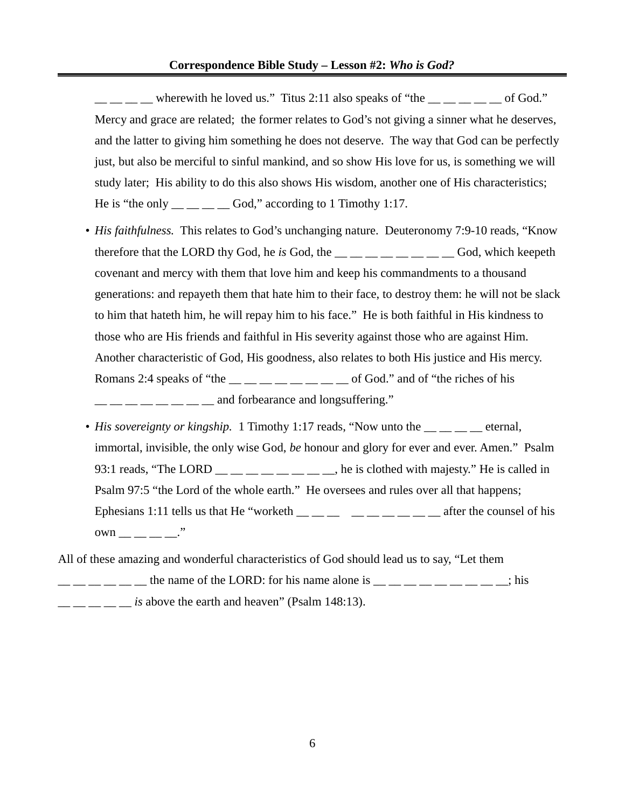$\frac{1}{1}$  wherewith he loved us." Titus 2:11 also speaks of "the  $\frac{1}{1}$   $\frac{1}{1}$  and  $\frac{1}{1}$  and  $\frac{1}{1}$  and  $\frac{1}{1}$  and  $\frac{1}{1}$  and  $\frac{1}{1}$  and  $\frac{1}{1}$  and  $\frac{1}{1}$  and  $\frac{1}{1}$  and  $\frac{1}{1}$  and  $\frac{1}{$ Mercy and grace are related; the former relates to God's not giving a sinner what he deserves, and the latter to giving him something he does not deserve. The way that God can be perfectly just, but also be merciful to sinful mankind, and so show His love for us, is something we will study later; His ability to do this also shows His wisdom, another one of His characteristics; He is "the only  $\_\_\_\_\_\_\_\_$  God," according to 1 Timothy 1:17.

- *His faithfulness.* This relates to God's unchanging nature. Deuteronomy 7:9-10 reads, "Know therefore that the LORD thy God, he *is* God, the \_\_ \_\_ \_\_ \_\_ \_\_ \_\_ \_\_ \_\_ God, which keepeth covenant and mercy with them that love him and keep his commandments to a thousand generations: and repayeth them that hate him to their face, to destroy them: he will not be slack to him that hateth him, he will repay him to his face." He is both faithful in His kindness to those who are His friends and faithful in His severity against those who are against Him. Another characteristic of God, His goodness, also relates to both His justice and His mercy. Romans 2:4 speaks of "the  $\_\_\_\_\_\_\_\_\_\_\_\_\_\_$  of God." and of "the riches of his  $\frac{1}{2}$   $\frac{1}{2}$   $\frac{1}{2}$   $\frac{1}{2}$  and forbearance and longsuffering."
- *His sovereignty or kingship.* 1 Timothy 1:17 reads, "Now unto the eternal, immortal, invisible, the only wise God, *be* honour and glory for ever and ever. Amen." Psalm 93:1 reads, "The LORD  $\_\_\_\_\_\_\_\_\_\_\_\_$  he is clothed with majesty." He is called in Psalm 97:5 "the Lord of the whole earth." He oversees and rules over all that happens; Ephesians 1:11 tells us that He "worketh \_\_ \_\_ \_\_ \_\_ \_\_ \_\_ \_\_ \_\_ \_\_ after the counsel of his own  $\cdot$ "

All of these amazing and wonderful characteristics of God should lead us to say, "Let them  $\frac{1}{1}$   $\frac{1}{1}$   $\frac{1}{1}$   $\frac{1}{1}$   $\frac{1}{1}$  the name of the LORD: for his name alone is  $\frac{1}{1}$   $\frac{1}{1}$   $\frac{1}{1}$   $\frac{1}{1}$   $\frac{1}{1}$   $\frac{1}{1}$   $\frac{1}{1}$   $\frac{1}{1}$   $\frac{1}{1}$   $\frac{1}{1}$   $\frac{1}{1}$   $\frac{1}{1}$   $\frac{1}{1$ is above the earth and heaven" (Psalm 148:13).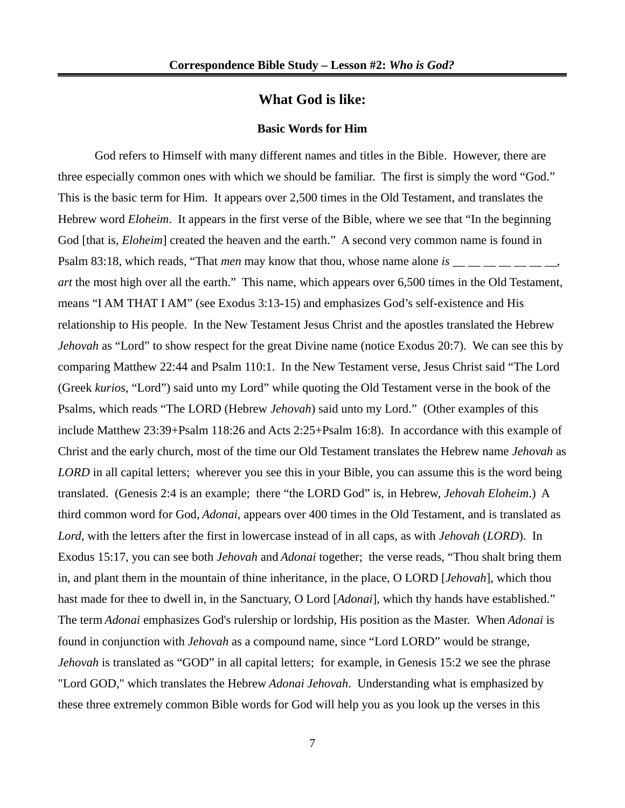### **What God is like:**

#### **Basic Words for Him**

God refers to Himself with many different names and titles in the Bible. However, there are three especially common ones with which we should be familiar. The first is simply the word "God." This is the basic term for Him. It appears over 2,500 times in the Old Testament, and translates the Hebrew word *Eloheim*. It appears in the first verse of the Bible, where we see that "In the beginning God [that is, *Eloheim*] created the heaven and the earth." A second very common name is found in Psalm 83:18, which reads, "That *men* may know that thou, whose name alone *is* \_\_ \_ \_ \_ \_ \_ \_ *art* the most high over all the earth." This name, which appears over 6,500 times in the Old Testament, means "I AM THAT I AM" (see Exodus 3:13-15) and emphasizes God's self-existence and His relationship to His people. In the New Testament Jesus Christ and the apostles translated the Hebrew *Jehovah* as "Lord" to show respect for the great Divine name (notice Exodus 20:7). We can see this by comparing Matthew 22:44 and Psalm 110:1. In the New Testament verse, Jesus Christ said "The Lord (Greek *kurios*, "Lord") said unto my Lord" while quoting the Old Testament verse in the book of the Psalms, which reads "The LORD (Hebrew *Jehovah*) said unto my Lord." (Other examples of this include Matthew 23:39+Psalm 118:26 and Acts 2:25+Psalm 16:8). In accordance with this example of Christ and the early church, most of the time our Old Testament translates the Hebrew name *Jehovah* as *LORD* in all capital letters; wherever you see this in your Bible, you can assume this is the word being translated. (Genesis 2:4 is an example; there "the LORD God" is, in Hebrew, *Jehovah Eloheim*.) A third common word for God, *Adonai*, appears over 400 times in the Old Testament, and is translated as *Lord*, with the letters after the first in lowercase instead of in all caps, as with *Jehovah* (*LORD*). In Exodus 15:17, you can see both *Jehovah* and *Adonai* together; the verse reads, "Thou shalt bring them in, and plant them in the mountain of thine inheritance, in the place, O LORD [*Jehovah*], which thou hast made for thee to dwell in, in the Sanctuary, O Lord [*Adonai*], which thy hands have established." The term *Adonai* emphasizes God's rulership or lordship, His position as the Master. When *Adonai* is found in conjunction with *Jehovah* as a compound name, since "Lord LORD" would be strange, *Jehovah* is translated as "GOD" in all capital letters; for example, in Genesis 15:2 we see the phrase "Lord GOD," which translates the Hebrew *Adonai Jehovah*. Understanding what is emphasized by these three extremely common Bible words for God will help you as you look up the verses in this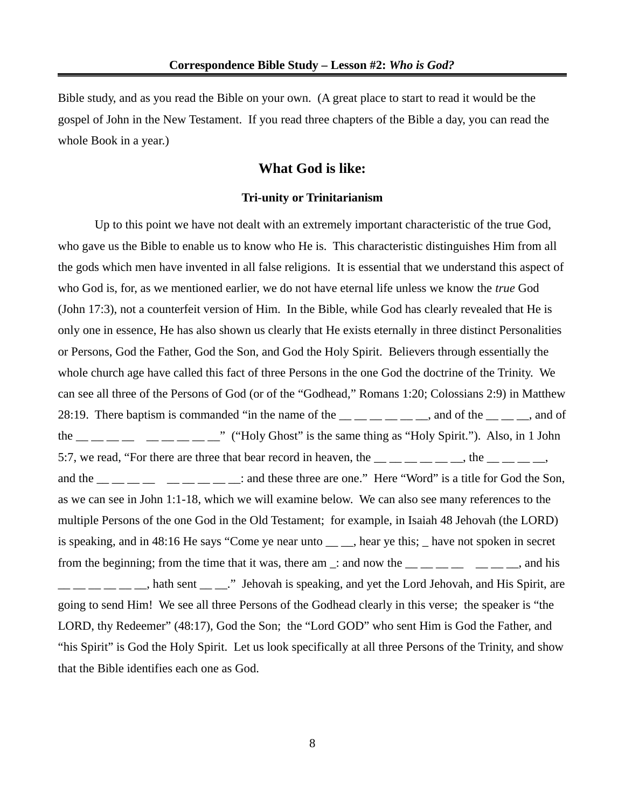Bible study, and as you read the Bible on your own. (A great place to start to read it would be the gospel of John in the New Testament. If you read three chapters of the Bible a day, you can read the whole Book in a year.)

### **What God is like:**

#### **Tri-unity or Trinitarianism**

Up to this point we have not dealt with an extremely important characteristic of the true God, who gave us the Bible to enable us to know who He is. This characteristic distinguishes Him from all the gods which men have invented in all false religions. It is essential that we understand this aspect of who God is, for, as we mentioned earlier, we do not have eternal life unless we know the *true* God (John 17:3), not a counterfeit version of Him. In the Bible, while God has clearly revealed that He is only one in essence, He has also shown us clearly that He exists eternally in three distinct Personalities or Persons, God the Father, God the Son, and God the Holy Spirit. Believers through essentially the whole church age have called this fact of three Persons in the one God the doctrine of the Trinity. We can see all three of the Persons of God (or of the "Godhead," Romans 1:20; Colossians 2:9) in Matthew 28:19. There baptism is commanded "in the name of the  $\_\_$   $\_\_$   $\_\_$  and of the  $\_\_$   $\_\_$  and of the  $\frac{1}{1}$   $\frac{1}{1}$   $\frac{1}{1}$   $\frac{1}{1}$   $\frac{1}{1}$   $\frac{1}{1}$   $\frac{1}{1}$   $\frac{1}{1}$   $\frac{1}{1}$   $\frac{1}{1}$   $\frac{1}{1}$   $\frac{1}{1}$   $\frac{1}{1}$   $\frac{1}{1}$   $\frac{1}{1}$   $\frac{1}{1}$   $\frac{1}{1}$   $\frac{1}{1}$   $\frac{1}{1}$   $\frac{1}{1}$   $\frac{1}{1}$   $\frac{1}{1$ 5:7, we read, "For there are three that bear record in heaven, the  $\frac{1}{1}$   $\frac{1}{1}$   $\frac{1}{1}$   $\frac{1}{1}$   $\frac{1}{1}$   $\frac{1}{1}$   $\frac{1}{1}$   $\frac{1}{1}$   $\frac{1}{1}$   $\frac{1}{1}$   $\frac{1}{1}$   $\frac{1}{1}$   $\frac{1}{1}$   $\frac{1}{1}$   $\frac{1}{1}$   $\frac{$ and the  $\frac{1}{1}$   $\frac{1}{1}$   $\frac{1}{1}$   $\frac{1}{1}$   $\frac{1}{1}$   $\frac{1}{1}$   $\frac{1}{1}$  : and these three are one." Here "Word" is a title for God the Son, as we can see in John 1:1-18, which we will examine below. We can also see many references to the multiple Persons of the one God in the Old Testament; for example, in Isaiah 48 Jehovah (the LORD) is speaking, and in 48:16 He says "Come ye near unto \_\_ \_, hear ye this; \_ have not spoken in secret from the beginning; from the time that it was, there am  $\Box$ : and now the  $\Box$   $\Box$   $\Box$   $\Box$   $\Box$   $\Box$   $\Box$ , and his  $\frac{1}{1-\frac{1}{1-\frac{1}{1-\frac{1}{1-\frac{1}{1-\frac{1}{1-\frac{1}{1-\frac{1}{1-\frac{1}{1-\frac{1}{1-\frac{1}{1-\frac{1}{1-\frac{1}{1-\frac{1}{1-\frac{1}{1-\frac{1}{1-\frac{1}{1-\frac{1}{1-\frac{1}{1-\frac{1}{1-\frac{1}{1-\frac{1}{1-\frac{1}{1-\frac{1}{1-\frac{1}{1-\frac{1}{1-\frac{1}{1-\frac{1}{1-\frac{1}{1-\frac{1}{1-\frac{1}{1-\frac{1}{1-\frac{1}{1-\frac{1}{1-\frac{1}{1-\frac{1}{1-\frac{1}{$ going to send Him! We see all three Persons of the Godhead clearly in this verse; the speaker is "the LORD, thy Redeemer" (48:17), God the Son; the "Lord GOD" who sent Him is God the Father, and "his Spirit" is God the Holy Spirit. Let us look specifically at all three Persons of the Trinity, and show that the Bible identifies each one as God.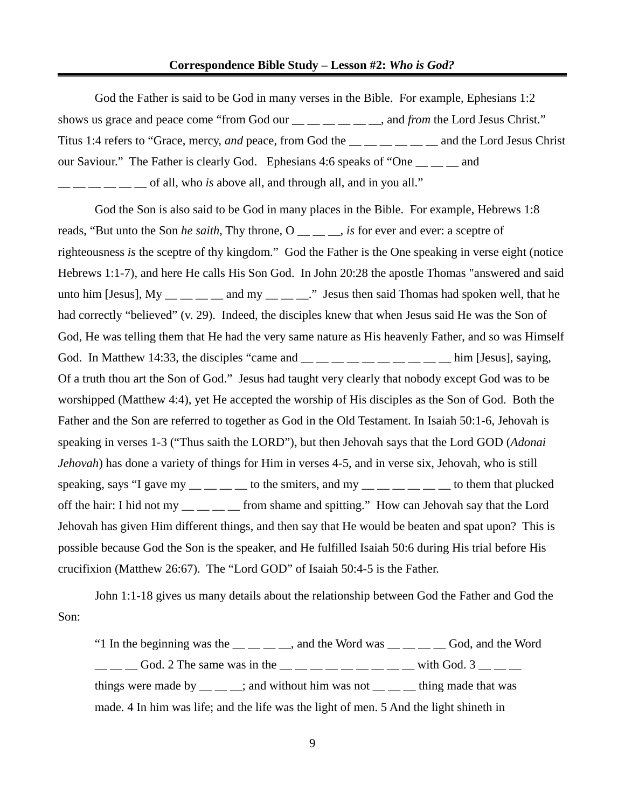#### **Correspondence Bible Study – Lesson #2:** *Who is God?*

God the Father is said to be God in many verses in the Bible. For example, Ephesians 1:2 shows us grace and peace come "from God our \_\_ \_\_ \_\_ \_\_ \_\_ \_\_, and *from* the Lord Jesus Christ." Titus 1:4 refers to "Grace, mercy, *and* peace, from God the **Example 20** and the Lord Jesus Christ our Saviour." The Father is clearly God. Ephesians 4:6 speaks of "One  $\_\_\_\_$  and  $\frac{1}{1}$   $\frac{1}{1}$   $\frac{1}{1}$   $\frac{1}{1}$  of all, who *is* above all, and through all, and in you all."

God the Son is also said to be God in many places in the Bible. For example, Hebrews 1:8 reads, "But unto the Son *he saith*, Thy throne, O \_\_ \_ \_, *is* for ever and ever: a sceptre of righteousness *is* the sceptre of thy kingdom." God the Father is the One speaking in verse eight (notice Hebrews 1:1-7), and here He calls His Son God. In John 20:28 the apostle Thomas "answered and said unto him [Jesus],  $My$   $\_\_\_\_\_\_\_\_\_$  and my  $\_\_\_\_\_\_$ " Jesus then said Thomas had spoken well, that he had correctly "believed" (v. 29). Indeed, the disciples knew that when Jesus said He was the Son of God, He was telling them that He had the very same nature as His heavenly Father, and so was Himself God. In Matthew 14:33, the disciples "came and  $\_\_\_\_\_\_\_\_\_\_\_\_\_\_\_\_\_\_$  him [Jesus], saying, Of a truth thou art the Son of God." Jesus had taught very clearly that nobody except God was to be worshipped (Matthew 4:4), yet He accepted the worship of His disciples as the Son of God. Both the Father and the Son are referred to together as God in the Old Testament. In Isaiah 50:1-6, Jehovah is speaking in verses 1-3 ("Thus saith the LORD"), but then Jehovah says that the Lord GOD (*Adonai Jehovah*) has done a variety of things for Him in verses 4-5, and in verse six, Jehovah, who is still speaking, says "I gave my  $\_\_\_\_\_\_\_\_\$ to the smiters, and my  $\_\_\_\_\_\_\_\_\_\_\_\_\_$ to them that plucked off the hair: I hid not my \_\_ \_\_ \_\_ from shame and spitting." How can Jehovah say that the Lord Jehovah has given Him different things, and then say that He would be beaten and spat upon? This is possible because God the Son is the speaker, and He fulfilled Isaiah 50:6 during His trial before His crucifixion (Matthew 26:67). The "Lord GOD" of Isaiah 50:4-5 is the Father.

John 1:1-18 gives us many details about the relationship between God the Father and God the Son:

"1 In the beginning was the  $\_\_\_\_\_\_\$  and the Word was  $\_\_\_\_\_\_\_\$  God, and the Word  $\frac{1}{2}$   $\frac{1}{2}$  God. 2 The same was in the  $\frac{1}{2}$   $\frac{1}{2}$   $\frac{1}{2}$   $\frac{1}{2}$   $\frac{1}{2}$   $\frac{1}{2}$   $\frac{1}{2}$   $\frac{1}{2}$   $\frac{1}{2}$   $\frac{1}{2}$   $\frac{1}{2}$   $\frac{1}{2}$   $\frac{1}{2}$   $\frac{1}{2}$   $\frac{1}{2}$   $\frac{1}{2}$   $\frac{1}{2}$   $\frac{$ things were made by  $\frac{1}{\sqrt{2}}$  and without him was not  $\frac{1}{\sqrt{2}}$  thing made that was made. 4 In him was life; and the life was the light of men. 5 And the light shineth in

9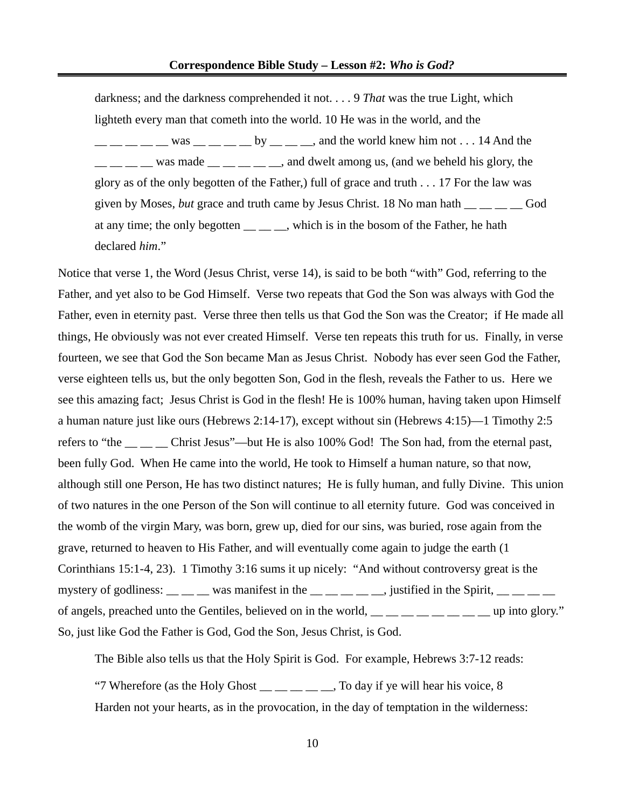darkness; and the darkness comprehended it not. . . . 9 *That* was the true Light, which lighteth every man that cometh into the world. 10 He was in the world, and the  $\frac{1}{1-\frac{1}{1-\frac{1}{1-\frac{1}{1-\frac{1}{1-\frac{1}{1-\frac{1}{1-\frac{1}{1-\frac{1}{1-\frac{1}{1-\frac{1}{1-\frac{1}{1-\frac{1}{1-\frac{1}{1-\frac{1}{1-\frac{1}{1-\frac{1}{1-\frac{1}{1-\frac{1}{1-\frac{1}{1-\frac{1}{1-\frac{1}{1-\frac{1}{1-\frac{1}{1-\frac{1}{1-\frac{1}{1-\frac{1}{1-\frac{1}{1-\frac{1}{1-\frac{1}{1-\frac{1}{1-\frac{1}{1-\frac{1}{1-\frac{1}{1-\frac{1}{1-\frac{1}{1-\frac{1$  $\frac{1}{1}$   $\frac{1}{1}$  was made  $\frac{1}{1}$   $\frac{1}{1}$   $\frac{1}{1}$  and dwelt among us, (and we beheld his glory, the glory as of the only begotten of the Father,) full of grace and truth . . . 17 For the law was given by Moses, *but* grace and truth came by Jesus Christ. 18 No man hath \_\_ \_\_ \_\_ \_\_ God at any time; the only begotten , which is in the bosom of the Father, he hath declared *him*."

Notice that verse 1, the Word (Jesus Christ, verse 14), is said to be both "with" God, referring to the Father, and yet also to be God Himself. Verse two repeats that God the Son was always with God the Father, even in eternity past. Verse three then tells us that God the Son was the Creator; if He made all things, He obviously was not ever created Himself. Verse ten repeats this truth for us. Finally, in verse fourteen, we see that God the Son became Man as Jesus Christ. Nobody has ever seen God the Father, verse eighteen tells us, but the only begotten Son, God in the flesh, reveals the Father to us. Here we see this amazing fact; Jesus Christ is God in the flesh! He is 100% human, having taken upon Himself a human nature just like ours (Hebrews 2:14-17), except without sin (Hebrews 4:15)—1 Timothy 2:5 refers to "the <sub>\_\_</sub> \_\_ \_\_ Christ Jesus"—but He is also 100% God! The Son had, from the eternal past, been fully God. When He came into the world, He took to Himself a human nature, so that now, although still one Person, He has two distinct natures; He is fully human, and fully Divine. This union of two natures in the one Person of the Son will continue to all eternity future. God was conceived in the womb of the virgin Mary, was born, grew up, died for our sins, was buried, rose again from the grave, returned to heaven to His Father, and will eventually come again to judge the earth (1 Corinthians 15:1-4, 23). 1 Timothy 3:16 sums it up nicely: "And without controversy great is the mystery of godliness:  $\frac{1}{1-\frac{1}{1-\frac{1}{1-\frac{1}{1-\frac{1}{1-\frac{1}{1-\frac{1}{1-\frac{1}{1-\frac{1}{1-\frac{1}{1-\frac{1}{1-\frac{1}{1-\frac{1}{1-\frac{1}{1-\frac{1}{1-\frac{1}{1-\frac{1}{1-\frac{1}{1-\frac{1}{1-\frac{1}{1-\frac{1}{1-\frac{1}{1-\frac{1}{1-\frac{1}{1-\frac{1}{1-\frac{1}{1-\frac{1}{1-\frac{1}{1-\frac{1}{1-\frac{1}{1-\frac{1}{1-\frac{1}{1-\frac{1}{1$ of angels, preached unto the Gentiles, believed on in the world,  $\frac{1}{1}$   $\frac{1}{1}$   $\frac{1}{1}$   $\frac{1}{1}$   $\frac{1}{1}$   $\frac{1}{1}$   $\frac{1}{1}$   $\frac{1}{1}$   $\frac{1}{1}$   $\frac{1}{1}$   $\frac{1}{1}$   $\frac{1}{1}$   $\frac{1}{1}$   $\frac{1}{1}$   $\frac{1}{1}$   $\frac{1}{$ So, just like God the Father is God, God the Son, Jesus Christ, is God.

The Bible also tells us that the Holy Spirit is God. For example, Hebrews 3:7-12 reads:

"7 Wherefore (as the Holy Ghost  $\_\_$   $\_\_$   $\_\_$  To day if ye will hear his voice, 8 Harden not your hearts, as in the provocation, in the day of temptation in the wilderness: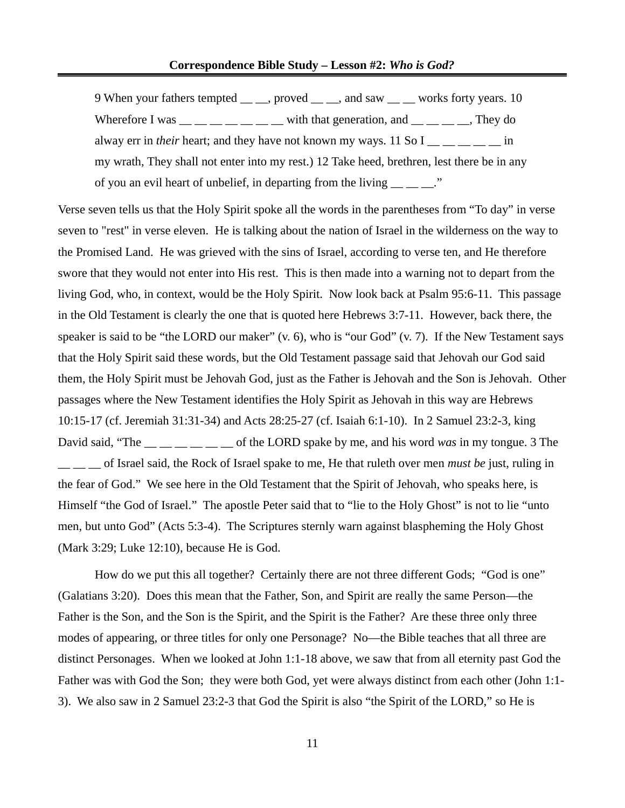9 When your fathers tempted \_\_ \_, proved \_ \_, and saw \_\_ \_ works forty years. 10 Wherefore I was  $\frac{1}{2}$   $\frac{1}{2}$   $\frac{1}{2}$   $\frac{1}{2}$  with that generation, and  $\frac{1}{2}$   $\frac{1}{2}$   $\frac{1}{2}$   $\frac{1}{2}$   $\frac{1}{2}$   $\frac{1}{2}$   $\frac{1}{2}$   $\frac{1}{2}$   $\frac{1}{2}$   $\frac{1}{2}$   $\frac{1}{2}$   $\frac{1}{2}$   $\frac{1}{2}$   $\frac{1}{2}$ alway err in *their* heart; and they have not known my ways. 11 So  $I_{\text{max}} = -1$  in my wrath, They shall not enter into my rest.) 12 Take heed, brethren, lest there be in any of you an evil heart of unbelief, in departing from the living  $\frac{1}{\sqrt{2}}$ 

Verse seven tells us that the Holy Spirit spoke all the words in the parentheses from "To day" in verse seven to "rest" in verse eleven. He is talking about the nation of Israel in the wilderness on the way to the Promised Land. He was grieved with the sins of Israel, according to verse ten, and He therefore swore that they would not enter into His rest. This is then made into a warning not to depart from the living God, who, in context, would be the Holy Spirit. Now look back at Psalm 95:6-11. This passage in the Old Testament is clearly the one that is quoted here Hebrews 3:7-11. However, back there, the speaker is said to be "the LORD our maker" (v. 6), who is "our God" (v. 7). If the New Testament says that the Holy Spirit said these words, but the Old Testament passage said that Jehovah our God said them, the Holy Spirit must be Jehovah God, just as the Father is Jehovah and the Son is Jehovah. Other passages where the New Testament identifies the Holy Spirit as Jehovah in this way are Hebrews 10:15-17 (cf. Jeremiah 31:31-34) and Acts 28:25-27 (cf. Isaiah 6:1-10). In 2 Samuel 23:2-3, king David said, "The \_\_ \_\_ \_\_ \_\_ \_\_ \_\_ of the LORD spake by me, and his word *was* in my tongue. 3 The \_\_ \_\_ \_\_ of Israel said, the Rock of Israel spake to me, He that ruleth over men *must be* just, ruling in the fear of God." We see here in the Old Testament that the Spirit of Jehovah, who speaks here, is Himself "the God of Israel." The apostle Peter said that to "lie to the Holy Ghost" is not to lie "unto men, but unto God" (Acts 5:3-4). The Scriptures sternly warn against blaspheming the Holy Ghost (Mark 3:29; Luke 12:10), because He is God.

How do we put this all together? Certainly there are not three different Gods; "God is one" (Galatians 3:20). Does this mean that the Father, Son, and Spirit are really the same Person—the Father is the Son, and the Son is the Spirit, and the Spirit is the Father? Are these three only three modes of appearing, or three titles for only one Personage? No—the Bible teaches that all three are distinct Personages. When we looked at John 1:1-18 above, we saw that from all eternity past God the Father was with God the Son; they were both God, yet were always distinct from each other (John 1:1- 3). We also saw in 2 Samuel 23:2-3 that God the Spirit is also "the Spirit of the LORD," so He is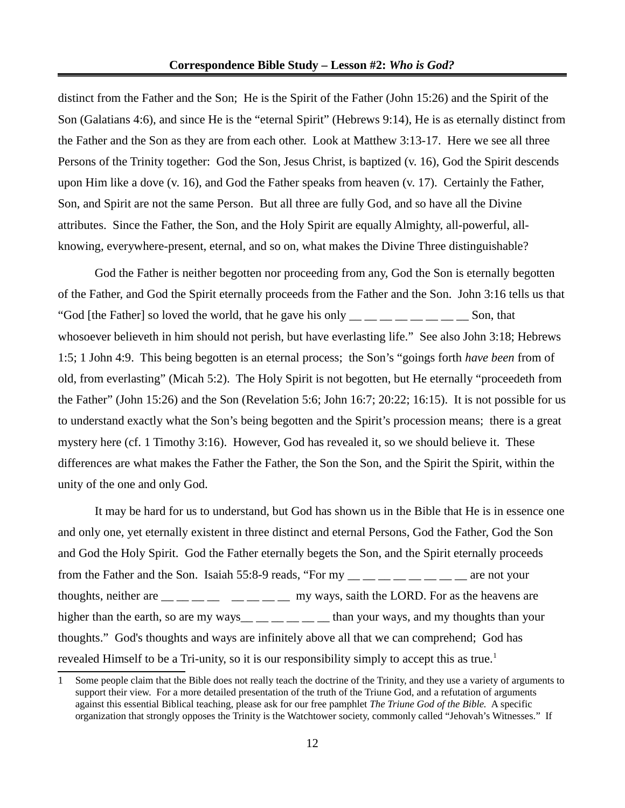distinct from the Father and the Son; He is the Spirit of the Father (John 15:26) and the Spirit of the Son (Galatians 4:6), and since He is the "eternal Spirit" (Hebrews 9:14), He is as eternally distinct from the Father and the Son as they are from each other. Look at Matthew 3:13-17. Here we see all three Persons of the Trinity together: God the Son, Jesus Christ, is baptized (v. 16), God the Spirit descends upon Him like a dove (v. 16), and God the Father speaks from heaven (v. 17). Certainly the Father, Son, and Spirit are not the same Person. But all three are fully God, and so have all the Divine attributes. Since the Father, the Son, and the Holy Spirit are equally Almighty, all-powerful, allknowing, everywhere-present, eternal, and so on, what makes the Divine Three distinguishable?

God the Father is neither begotten nor proceeding from any, God the Son is eternally begotten of the Father, and God the Spirit eternally proceeds from the Father and the Son. John 3:16 tells us that "God [the Father] so loved the world, that he gave his only  $\frac{m}{m}$   $\frac{m}{m}$   $\frac{m}{m}$   $\frac{m}{m}$  Son, that whosoever believeth in him should not perish, but have everlasting life." See also John 3:18; Hebrews 1:5; 1 John 4:9. This being begotten is an eternal process; the Son's "goings forth *have been* from of old, from everlasting" (Micah 5:2). The Holy Spirit is not begotten, but He eternally "proceedeth from the Father" (John 15:26) and the Son (Revelation 5:6; John 16:7; 20:22; 16:15). It is not possible for us to understand exactly what the Son's being begotten and the Spirit's procession means; there is a great mystery here (cf. 1 Timothy 3:16). However, God has revealed it, so we should believe it. These differences are what makes the Father the Father, the Son the Son, and the Spirit the Spirit, within the unity of the one and only God.

It may be hard for us to understand, but God has shown us in the Bible that He is in essence one and only one, yet eternally existent in three distinct and eternal Persons, God the Father, God the Son and God the Holy Spirit. God the Father eternally begets the Son, and the Spirit eternally proceeds from the Father and the Son. Isaiah 55:8-9 reads, "For  $my_{\text{max}} = 2.75 \text{ m/s}$  are not your thoughts, neither are  $\frac{1}{1}$   $\frac{1}{1}$   $\frac{1}{1}$   $\frac{1}{1}$   $\frac{1}{1}$   $\frac{1}{1}$   $\frac{1}{1}$   $\frac{1}{1}$   $\frac{1}{1}$   $\frac{1}{1}$   $\frac{1}{1}$   $\frac{1}{1}$   $\frac{1}{1}$   $\frac{1}{1}$   $\frac{1}{1}$   $\frac{1}{1}$   $\frac{1}{1}$   $\frac{1}{1}$   $\frac{1}{1}$   $\frac{1}{1}$ higher than the earth, so are my ways\_\_ \_ \_ \_ \_ \_ \_ than your ways, and my thoughts than your thoughts." God's thoughts and ways are infinitely above all that we can comprehend; God has revealed Himself to be a Tri-unity, so it is our responsibility simply to accept this as true.<sup>[1](#page-11-0)</sup>

<span id="page-11-0"></span><sup>1</sup> Some people claim that the Bible does not really teach the doctrine of the Trinity, and they use a variety of arguments to support their view. For a more detailed presentation of the truth of the Triune God, and a refutation of arguments against this essential Biblical teaching, please ask for our free pamphlet *The Triune God of the Bible.* A specific organization that strongly opposes the Trinity is the Watchtower society, commonly called "Jehovah's Witnesses." If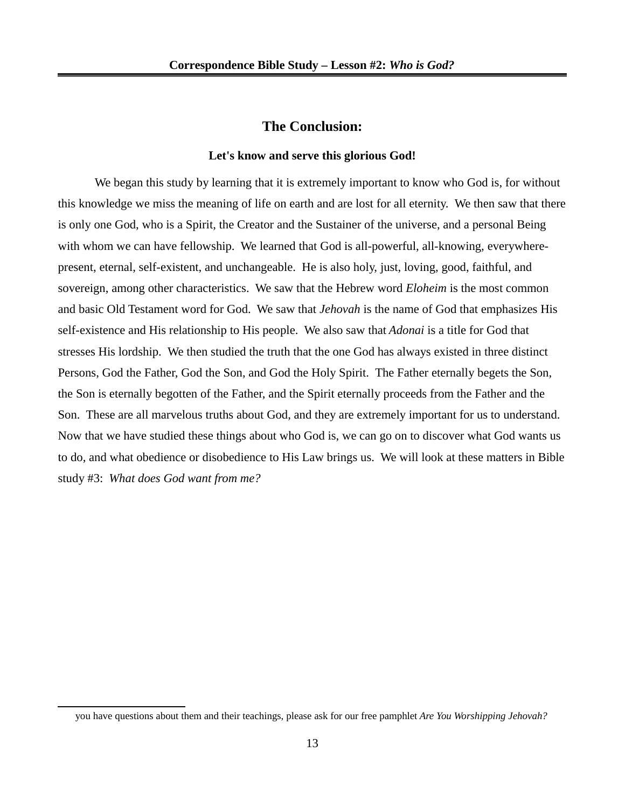### **The Conclusion:**

#### **Let's know and serve this glorious God!**

We began this study by learning that it is extremely important to know who God is, for without this knowledge we miss the meaning of life on earth and are lost for all eternity. We then saw that there is only one God, who is a Spirit, the Creator and the Sustainer of the universe, and a personal Being with whom we can have fellowship. We learned that God is all-powerful, all-knowing, everywherepresent, eternal, self-existent, and unchangeable. He is also holy, just, loving, good, faithful, and sovereign, among other characteristics. We saw that the Hebrew word *Eloheim* is the most common and basic Old Testament word for God. We saw that *Jehovah* is the name of God that emphasizes His self-existence and His relationship to His people. We also saw that *Adonai* is a title for God that stresses His lordship. We then studied the truth that the one God has always existed in three distinct Persons, God the Father, God the Son, and God the Holy Spirit. The Father eternally begets the Son, the Son is eternally begotten of the Father, and the Spirit eternally proceeds from the Father and the Son. These are all marvelous truths about God, and they are extremely important for us to understand. Now that we have studied these things about who God is, we can go on to discover what God wants us to do, and what obedience or disobedience to His Law brings us. We will look at these matters in Bible study #3: *What does God want from me?*

you have questions about them and their teachings, please ask for our free pamphlet *Are You Worshipping Jehovah?*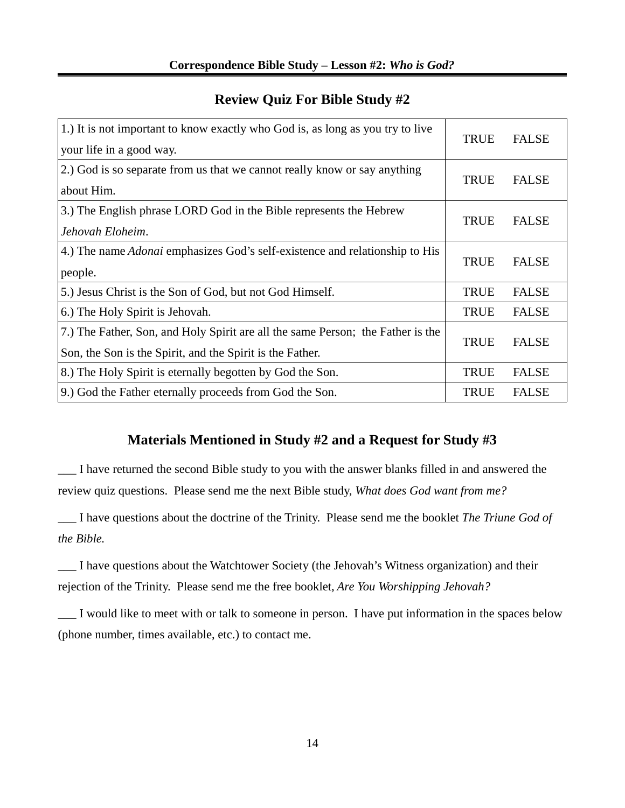### 1.) It is not important to know exactly who God is, as long as you try to live your life in a good way. TRUE FALSE 2.) God is so separate from us that we cannot really know or say anything about Him. TRUE FALSE 3.) The English phrase LORD God in the Bible represents the Hebrew *Jehovah Eloheim*. TRUE FALSE 4.) The name *Adonai* emphasizes God's self-existence and relationship to His people. TRUE FALSE 5.) Jesus Christ is the Son of God, but not God Himself. TRUE FALSE 6.) The Holy Spirit is Jehovah. TRUE FALSE 7.) The Father, Son, and Holy Spirit are all the same Person; the Father is the Son, the Son is the Spirit, and the Spirit is the Father. TRUE FALSE 8.) The Holy Spirit is eternally begotten by God the Son. TRUE FALSE 9.) God the Father eternally proceeds from God the Son. TRUE FALSE

## **Review Quiz For Bible Study #2**

# **Materials Mentioned in Study #2 and a Request for Study #3**

\_\_\_ I have returned the second Bible study to you with the answer blanks filled in and answered the review quiz questions. Please send me the next Bible study, *What does God want from me?*

\_\_\_ I have questions about the doctrine of the Trinity. Please send me the booklet *The Triune God of the Bible.*

\_\_\_ I have questions about the Watchtower Society (the Jehovah's Witness organization) and their rejection of the Trinity. Please send me the free booklet, *Are You Worshipping Jehovah?*

\_\_\_ I would like to meet with or talk to someone in person. I have put information in the spaces below (phone number, times available, etc.) to contact me.